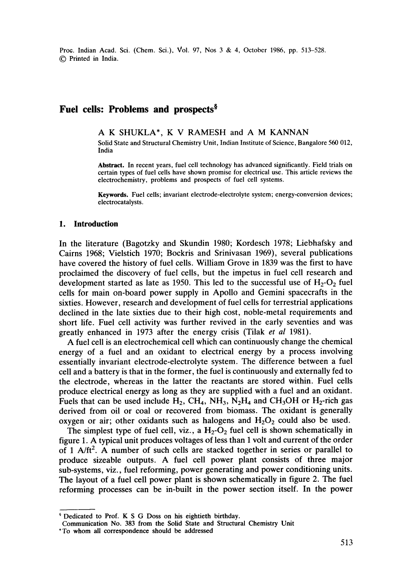Proc. Indian Acad. Sci. (Chem. Sci.), Vol. 97, Nos 3 & 4, October 1986, pp. 513-528. 9 Printed in India.

## Fuel cells: Problems and prospects<sup>§</sup>

A K SHUKLA\*, K V RAMESH and A M KANNAN

Solid State and Structural Chemistry Unit, Indian Institute of Science, Bangalore 560 012, India

**Abstract.** In recent years, fuel cell technology has advanced significantly. Field trials on certain types of fuel cells have shown promise for electrical use. This article reviews the electrochemistry, problems and prospects of fuel cell systems.

**Keywords.** Fuel cells; invariant electrode-electrolyte system; energy-conversion devices; electrocatalysts.

#### **1. Introduction**

In the literature (Bagotzky and Skundin 1980; Kordesch 1978; Liebhafsky and Cairns 1968; Vielstich 1970; Bockris and Srinivasan 1969), several publications have covered the history of fuel cells. William Grove in 1839 was the first to have proclaimed the discovery of fuel cells, but the impetus in fuel cell research and development started as late as 1950. This led to the successful use of  $H_2-O_2$  fuel cells for main on-board power supply in Apollo and Gemini spacecrafts in the sixties. However, research and development of fuel cells for terrestrial applications declined in the late sixties due to their high cost, noble-metal requirements and short life. Fuel cell activity was further revived in the early seventies and was greatly enhanced in 1973 after the energy crisis (Tilak *et al* 1981).

A fuel cell is an electrochemical cell which can continuously change the chemical energy of a fuel and an oxidant to electrical energy by a process involving essentially invariant electrode-electrolyte system. The difference between a fuel cell and a battery is that in the former, the fuel is continuously and externally fed to the electrode, whereas in the latter the reactants are stored within. Fuel cells produce electrical energy as long as they are supplied with a fuel and an oxidant. Fuels that can be used include  $H_2$ , CH<sub>4</sub>, NH<sub>3</sub>, N<sub>2</sub>H<sub>4</sub> and CH<sub>3</sub>OH or H<sub>2</sub>-rich gas derived from oil or coal or recovered from biomass. The oxidant is generally oxygen or air; other oxidants such as halogens and  $H_2O_2$  could also be used.

The simplest type of fuel cell, viz., a  $H_2$ -O<sub>2</sub> fuel cell is shown schematically in figure 1. A typical unit produces voltages of less than 1 volt and current of the order of 1  $A/ft^2$ . A number of such cells are stacked together in series or parallel to produce sizeable outputs. A fuel cell power plant consists of three major sub-systems, viz., fuel reforming, power generating and power conditioning units. The layout of a fuel cell power plant is shown schematically in figure 2. The fuel reforming processes can be in-built in the power section itself. In the power

Dedicated to Prof. K S G Doss on his eightieth birthday.

Communication No. 383 from the Solid State and Structural Chemistry Unit

<sup>\*</sup>To whom all correspondence should be addressed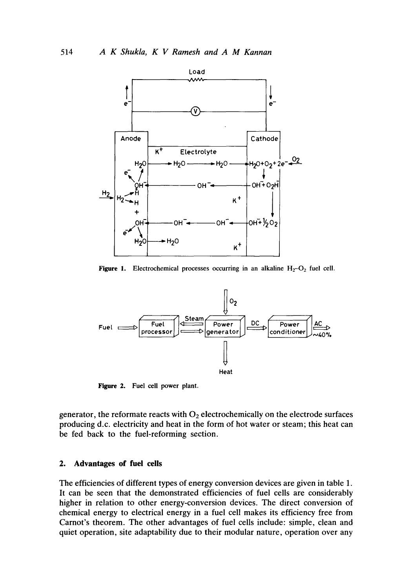

Figure 1. Electrochemical processes occurring in an alkaline  $H_2-O_2$  fuel cell.



Figure 2. Fuel cell power plant.

generator, the reformate reacts with  $O_2$  electrochemically on the electrode surfaces producing d.c. electricity and heat in the form of hot water or steam; this heat can be fed back to the fuel-reforming section.

### **2. Advantages of fuel cells**

The efficiencies of different types of energy conversion devices are given in table 1. It can be seen that the demonstrated efficiencies of fuel cells are considerably higher in relation to other energy-conversion devices. The direct conversion of chemical energy to electrical energy in a fuel cell makes its efficiency free from Carnot's theorem. The other advantages of fuel cells include: simple, clean and quiet operation, site adaptability due to their modular nature, operation over any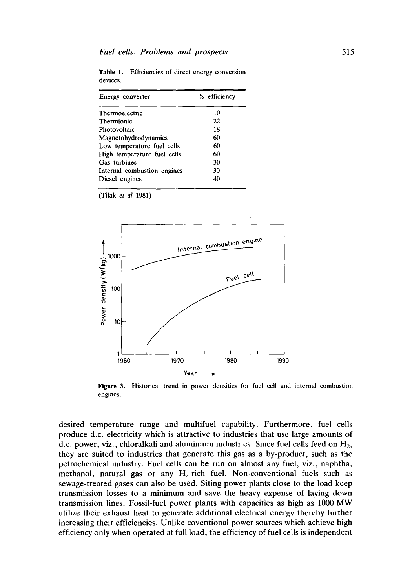| Energy converter            | % efficiency |  |  |
|-----------------------------|--------------|--|--|
| Thermoelectric              | 10           |  |  |
| <b>Thermionic</b>           | 22           |  |  |
| Photovoltaic                | 18           |  |  |
| Magnetohydrodynamics        | 60           |  |  |
| Low temperature fuel cells  | 60           |  |  |
| High temperature fuel cells | 60           |  |  |
| Gas turbines                | 30           |  |  |
| Internal combustion engines | 30           |  |  |
| Diesel engines              | 40           |  |  |
|                             |              |  |  |

Table 1. Efficiencies of direct energy conversion devices.

(Tilak *et al* 1981)



**Figure 3.**  Historical trend in power densities for fuel cell and internal combustion engines.

desired temperature range and multifuel capability. Furthermore, fuel cells produce d.c. electricity which is attractive to industries that use large amounts of d.c. power, viz., chloralkali and aluminium industries. Since fuel cells feed on  $H_2$ , they are suited to industries that generate this gas as a by-product, such as the petrochemical industry. Fuel cells can be run on almost any fuel, viz., naphtha, methanol, natural gas or any  $H_2$ -rich fuel. Non-conventional fuels such as sewage-treated gases can also be used. Siting power plants close to the load keep transmission losses to a minimum and save the heavy expense of laying down transmission lines. Fossil-fuel power plants with capacities as high as 1000 MW utilize their exhaust heat to generate additional electrical energy thereby further increasing their efficiencies. Unlike coventional power sources which achieve high efficiency only when operated at full load, the efficiency of fuel cells is independent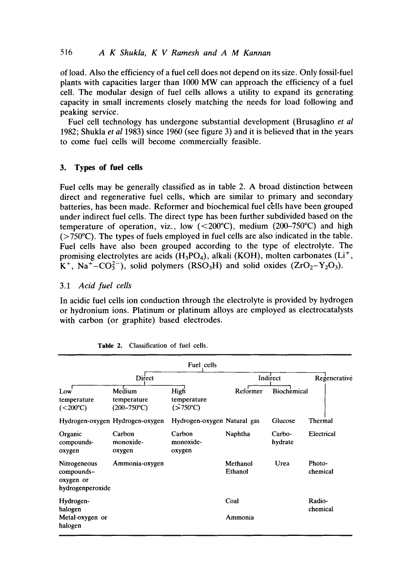of load. Also the efficiency of a fuel cell does not depend on its size. Only fossil-fuel plants with capacities larger than 1000 MW can approach the efficiency of a fuel cell. The modular design of fuel cells allows a utility to expand its generating capacity in small increments closely matching the needs for load following and peaking service.

Fuel cell technology has undergone substantial development (Brusaglino *et al*  1982; Shukla *et al* 1983) since 1960 (see figure 3) and it is believed that in the years to come fuel cells will become commercially feasible.

## **3. Types of fuel cells**

Fuel cells may be generally classified as in table 2. A broad distinction between direct and regenerative fuel cells, Which are similar to primary and secondary batteries, has been made. Reformer and biochemical fuel cells have been grouped under indirect fuel cells. The direct type has been further subdivided based on the temperature of operation, viz., low  $(<200^{\circ}C$ ), medium  $(200-750^{\circ}C)$  and high  $(>=750^{\circ}C)$ . The types of fuels employed in fuel cells are also indicated in the table. Fuel cells have also been grouped according to the type of electrolyte. The promising electrolytes are acids  $(H_3PO_4)$ , alkali (KOH), molten carbonates (Li<sup>+</sup>,  $K^+$ , Na<sup>+</sup>-CO<sub>3</sub><sup>-</sup>), solid polymers (RSO<sub>3</sub>H) and solid oxides (ZrO<sub>2</sub>-Y<sub>2</sub>O<sub>3</sub>).

## 3.1 *Acid fuel cells*

In acidic fuel cells ion conduction through the electrolyte is provided by hydrogen or hydronium ions. Platinum or platinum alloys are employed as electrocatalysts with carbon (or graphite) based electrodes.

| Fuel cells                                                  |                                                 |                                          |                     |                    |                    |  |  |
|-------------------------------------------------------------|-------------------------------------------------|------------------------------------------|---------------------|--------------------|--------------------|--|--|
| Direct                                                      |                                                 | Indirect                                 |                     | Regenerative       |                    |  |  |
| Low<br>temperature<br>$(<200^{\circ}C)$                     | Medium<br>temperature<br>$(200 - 750^{\circ}C)$ | High<br>temperature<br>$(5750^{\circ}C)$ | Reformer            | <b>Biochemical</b> |                    |  |  |
|                                                             | Hydrogen-oxygen Hydrogen-oxygen                 | Hydrogen-oxygen Natural gas              |                     | Glucose            | Thermal            |  |  |
| Organic<br>compounds-<br>oxygen                             | Carbon<br>monoxide-<br>oxygen                   | Carbon<br>monoxide-<br>oxygen            | Naphtha             | Carbo-<br>hydrate  | Electrical         |  |  |
| Nitrogeneous<br>compounds-<br>oxygen or<br>hydrogenperoxide | Ammonia-oxygen                                  |                                          | Methanol<br>Ethanol | Urea               | Photo-<br>chemical |  |  |
| Hydrogen-<br>halogen<br>Metal-oxygen or<br>halogen          |                                                 |                                          | Coal<br>Ammonia     |                    | Radio-<br>chemical |  |  |

|  | Table 2. Classification of fuel cells. |  |  |  |  |
|--|----------------------------------------|--|--|--|--|
|--|----------------------------------------|--|--|--|--|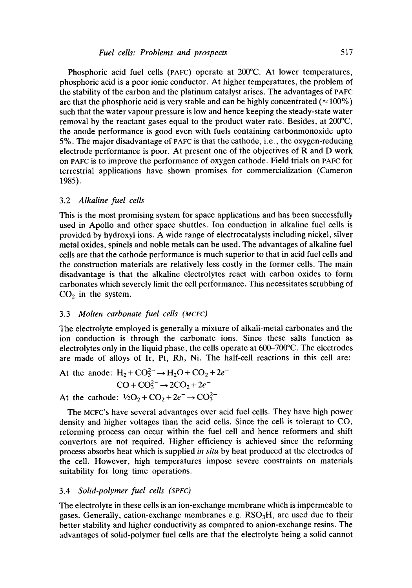Phosphoric acid fuel cells (PAFC) operate at 200°C. At lower temperatures, phosphoric acid is a poor ionic conductor. At higher temperatures, the problem of the stability of the carbon and the platinum catalyst arises. The advantages of PAFC are that the phosphoric acid is very stable and can be highly concentrated ( $\approx 100\%$ ) such that the water vapour pressure is low and hence keeping the steady-state water removal by the reactant gases equal to the product water rate. Besides, at  $200^{\circ}$ C, the anode performance is good even with fuels containing carbonmonoxide upto 5%. The major disadvantage of PAFC is that the cathode, i.e., the oxygen-reducing electrode performance is poor. At present one of the objectives of R and D work on PAFC is to improve the performance of oxygen cathode. Field trials on PAFC for terrestrial applications have shown promises for commercialization (Cameron 1985).

#### 3.2 *Alkaline fuel cells*

This is the most promising system for space applications and has been successfully used in Apollo and other space shuttles. Ion conduction in alkaline fuel cells is provided by hydroxyl ions. A wide range of electrocatalysts including nickel, silver metal oxides, spinels and noble metals can be used. The advantages of alkaline fuel cells are that the cathode performance is much superior to that in acid fuel cells and the construction materials are relatively less costly in the former cells. The main disadvantage is that the alkaline electrolytes react with carbon oxides to form carbonates which severely limit the cell performance. This necessitates scrubbing of  $CO<sub>2</sub>$  in the system.

#### 3.3 *Molten carbonate fuel cells (MCFC)*

The electrolyte employed is generally a mixture of alkali-metal carbonates and the ion conduction is through the carbonate ions. Since these salts function as electrolytes only in the liquid phase, the cells operate at 600-700°C. The electrodes are made of alloys of Ir, Pt, Rh, Ni. The half-cell reactions in this cell are:

At the anode:  $H_2 + CO_3^{2-} \rightarrow H_2O + CO_2 + 2e^ CO + CO<sub>3</sub><sup>2</sup> \rightarrow 2CO<sub>2</sub> + 2e<sup>-</sup>$ 

At the cathode:  $\frac{1}{2}O_2 + CO_2 + 2e^- \rightarrow CO_3^{2-}$ 

The MCFC's have several advantages over acid fuel cells. They have high power density and higher voltages than the acid cells. Since the cell is tolerant to CO, reforming process can occur within the fuel cell and hence reformers and shift convertors are not required. Higher efficiency is achieved since the reforming process absorbs heat which is supplied *in situ* by heat produced at the electrodes of the cell. However, high temperatures impose severe constraints on materials suitability for long time operations.

#### 3.4 *Solid-polymer fuel cells (SPFC)*

The electrolyte in these cells is an ion-exchange membrane which is impermeable to gases. Generally, cation-exchange membranes e.g.  $RSO<sub>3</sub>H$ , are used due to their better stability and higher conductivity as compared to anion-exchange resins. The advantages of solid-polymer fuel cells are that the electrolyte being a solid cannot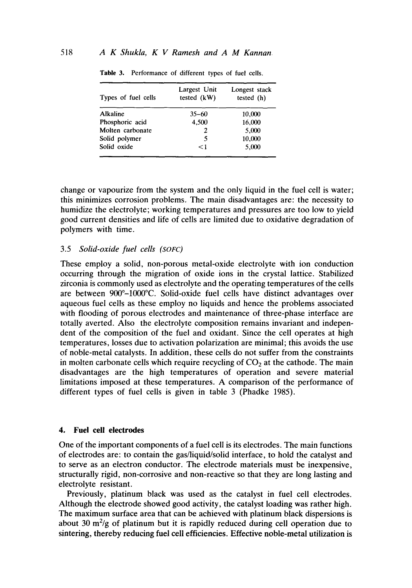| Types of fuel cells | Largest Unit<br>tested $(kW)$ | Longest stack<br>tested $(h)$ |
|---------------------|-------------------------------|-------------------------------|
| Alkaline            | $35 - 60$                     | 10,000                        |
| Phosphoric acid     | 4,500                         | 16,000                        |
| Molten carbonate    | 2                             | 5,000                         |
| Solid polymer       | 5                             | 10,000                        |
| Solid oxide         | $\leq$ 1                      | 5,000                         |

**Table** 3. Performance of different types of fuel cells.

change or vapourize from the system and the only liquid in the fuel cell is water; this minimizes corrosion problems. The main disadvantages are: the necessity to humidize the electrolyte; working temperatures and pressures are too low to yield good current densities and life of cells are limited due to oxidative degradation of polymers with time.

## 3.5 *Solid-oxide fuel cells (SOFC)*

These employ a solid, non-porous metal-oxide electrolyte with ion conduction occurring through the migration of oxide ions in the crystal lattice. Stabilized zirconia is commonly used as electrolyte and the operating temperatures of the cells are between  $900^{\circ}$ -1000 $^{\circ}$ C. Solid-oxide fuel cells have distinct advantages over aqueous fuel cells as these employ no liquids and hence the problems associated with flooding of porous electrodes and maintenance of three-phase interface are totally averted. Also the electrolyte composition remains invariant and independent of the composition of the fuel and oxidant. Since the cell operates at high temperatures, losses due to activation polarization are minimal; this avoids the use of noble-metal catalysts. In addition, these cells do not suffer from the constraints in molten carbonate cells which require recycling of  $CO<sub>2</sub>$  at the cathode. The main disadvantages are the high temperatures of operation and severe material limitations imposed at these temperatures. A comparison of the performance of different types of fuel cells is given in table 3 (Phadke 1985).

#### **4. Fuel cell electrodes**

One of the important components of a fuel cell is its electrodes. The main functions of electrodes are: to contain the gas/liquid/solid interface, to hold the catalyst and to serve as an electron conductor. The electrode materials must be inexpensive, structurally rigid, non-corrosive and non-reactive so that they are long lasting and electrolyte resistant.

Previously, platinum black was used as the catalyst in fuel cell electrodes. Although the electrode showed good activity, the catalyst loading was rather high. The maximum surface area that can be achieved with platinum black dispersions is about 30  $m^2/g$  of platinum but it is rapidly reduced during cell operation due to sintering, thereby reducing fuel cell efficiencies. Effective noble-metal utilization is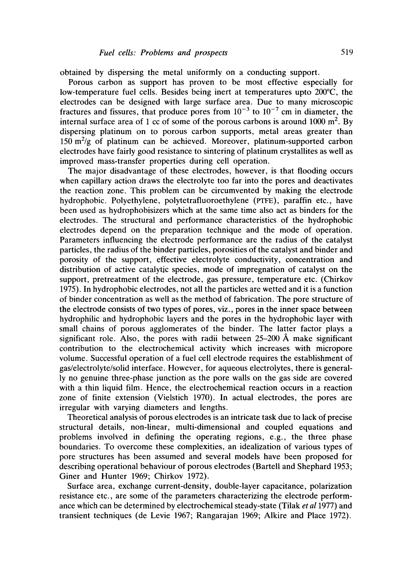obtained by dispersing the metal uniformly on a conducting support.

Porous carbon as support has proven to be most effective especially for low-temperature fuel cells. Besides being inert at temperatures upto  $200^{\circ}$ C, the electrodes can be designed with large surface area. Due to many microscopic fractures and fissures, that produce pores from  $10^{-3}$  to  $10^{-7}$  cm in diameter, the internal surface area of 1 cc of some of the porous carbons is around  $1000 \text{ m}^2$ . By dispersing platinum on to porous carbon supports, metal areas greater than  $150 \text{ m}^2/\text{g}$  of platinum can be achieved. Moreover, platinum-supported carbon electrodes have fairly good resistance to sintering of platinum crystallites as well as improved mass-transfer properties during cell operation.

The major disadvantage of these electrodes, however, is that flooding occurs when capillary action draws the electrolyte too far into the pores and deactivates the reaction zone. This problem can be circumvented by making the electrode hydrophobic. Polyethylene, polytetrafluoroethylene (PTFE), paraffin etc., have been used as hydrophobisizers which at the same time also act as binders for the electrodes. The structural and performance characteristics of the hydrophobic electrodes depend on the preparation technique and the mode of operation. Parameters influencing the electrode performance are the radius of the catalyst particles, the radius of the binder particles, porosities of the catalyst and binder and porosity of the support, effective electrolyte conductivity, concentration and distribution of active catalytic species, mode of impregnation of catalyst on the support, pretreatment of the electrode, gas pressure, temperature etc. (Chirkov 1975). In hydrophobic electrodes, not all the particles are wetted and it is a function of binder concentration as well as the method of fabrication. The pore structure of the electrode consists of two types of pores, viz., pores in the inner space between hydrophilic and hydrophobic layers and the pores in the hydrophobic layer with small chains of porous agglomerates of the binder. The latter factor plays a significant role. Also, the pores with radii between  $25-200$  Å make significant contribution to the electrochemical activity which increases with micropore volume. Successful operation of a fuel cell electrode requires the establishment of gas/electrolyte/solid interface. However, for aqueous electrolytes, there is generally no genuine three-phase junction as the pore walls on the gas side are covered with a thin liquid film. Hence, the electrochemical reaction occurs in a reaction zone of finite extension (Vielstich 1970). In actual electrodes, the pores are irregular with varying diameters and lengths.

Theoretical analysis of porous electrodes is an intricate task due to lack of precise structural details, non-linear, multi-dimensional and coupled equations and problems involved in defining the operating regions, e.g., the three phase boundaries. To overcome these complexities, an idealization of various types of pore structures has been assumed and several models have been proposed for describing operational behaviour of porous electrodes (Bartell and Shephard 1953; Giner and Hunter 1969; Chirkov 1972).

Surface area, exchange current-density, double-layer capacitance, polarization resistance etc., are some of the parameters characterizing the electrode performance which can be determined by electrochemical steady-state (Tilak *et a11977)* and transient techniques (de Levie 1967; Rangarajan 1969; Alkire and Place 1972).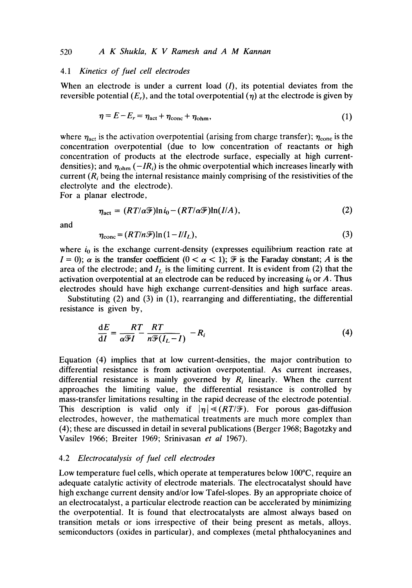## *4.1 Kinetics of fuel cell electrodes*

When an electrode is under a current load  $(I)$ , its potential deviates from the reversible potential  $(E_r)$ , and the total overpotential  $(\eta)$  at the electrode is given by

$$
\eta = E - E_r = \eta_{\text{act}} + \eta_{\text{conc}} + \eta_{\text{ohm}},\tag{1}
$$

where  $\eta_{\text{act}}$  is the activation overpotential (arising from charge transfer);  $\eta_{\text{cone}}$  is the concentration overpotential (due to low concentration of reactants or high concentration of products at the electrode surface, especially at high currentdensities); and  $\eta_{\text{ohm}}$  ( $-R_i$ ) is the ohmic overpotential which increases linearly with current  $(R_i)$  being the internal resistance mainly comprising of the resistivities of the electrolyte and the electrode).

For a planar electrode,

$$
\eta_{\rm act} = (RT/\alpha \mathcal{F}) \ln i_0 - (RT/\alpha \mathcal{F}) \ln (I/A), \qquad (2)
$$

and

$$
\eta_{\text{conc}} = (RT/n\mathcal{F})\ln(1 - I/I_L),\tag{3}
$$

 $\mathbb{R}^2$ 

where  $i_0$  is the exchange current-density (expresses equilibrium reaction rate at  $I = 0$ ;  $\alpha$  is the transfer coefficient  $(0 < \alpha < 1)$ ;  $\mathcal{F}$  is the Faraday constant; A is the area of the electrode; and  $I_L$  is the limiting current. It is evident from (2) that the activation overpotential at an electrode can be reduced by increasing  $i_0$  or A. Thus electrodes should have high exchange current-densities and high surface areas.

Substituting (2) and (3) in (1), rearranging and differentiating, the differential resistance is given by,

$$
\frac{\mathrm{d}E}{\mathrm{d}I} = \frac{RT}{\alpha \mathcal{F}I} \frac{RT}{n\mathcal{F}(I_L - I)} - R_i \tag{4}
$$

Equation (4) implies that at low current-densities, the major contribution to differential resistance is from activation overpotential. As current increases, differential resistance is mainly governed by  $R_i$  linearly. When the current approaches the limiting value, the differential resistance is controlled by mass-transfer limitations resulting in the rapid decrease of the electrode potential. This description is valid only if  $|\eta| \ll (RT/\mathcal{F})$ . For porous gas-diffusion electrodes, however, the mathematical treatments are much more complex than (4); these are discussed in detail in several publications (Berger 1968; Bagotzky and Vasilev 1966; Breiter 1969; Srinivasan *et al* 1967).

## 4.2 *Electrocatalysis of fuel cell electrodes*

Low temperature fuel cells, which operate at temperatures below  $100^{\circ}$ C, require an adequate catalytic activity of electrode materials. The electrocatalyst should have high exchange current density and/or low Tafel-slopes. By an appropriate choice of an electrocatalyst, a particular electrode reaction can be accelerated by minimizing the overpotential. It is found that electrocatalysts are almost always based on transition metals or ions irrespective of their being present as metals, alloys. semiconductors (oxides in particular), and complexes (metal phthalocyanines and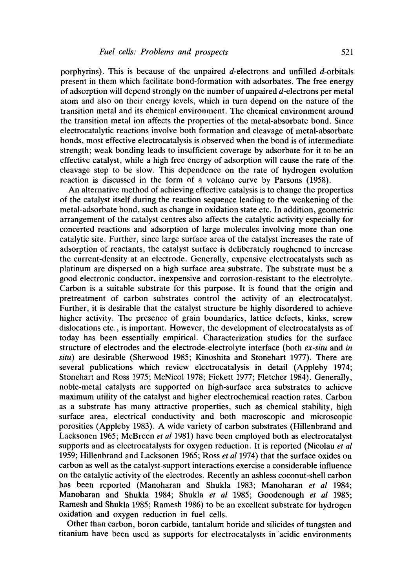porphyrins). This is because of the unpaired d-electrons and unfilled d-orbitals present in them which facilitate bond-formation with adsorbates. The free energy of adsorption will depend strongly on the number of unpaired  $d$ -electrons per metal atom and also on their energy levels, which in turn depend on the nature of the transition metal and its chemical environment. The chemical environment around the transition metal ion affects the properties of the metal-absorbate bond. Since electrocatalytic reactions involve both formation and cleavage of metal-absorbate bonds, most effective electrocatalysis is observed when the bond is of intermediate strength; weak bonding leads to insufficient coverage by adsorbate for it to be an effective catalyst, while a high free energy of adsorption will cause the rate of the cleavage step to be slow. This dependence on the rate of hydrogen evolution reaction is discussed in the form of a volcano curve by Parsons (1958).

An alternative method of achieving effective catalysis is to change the properties of the catalyst itself during the reaction sequence leading to the weakening of the metal-adsorbate bond, such as change in oxidation state etc. In addition, geometric arrangement of the catalyst centres also affects the catalytic activity especially for concerted reactions and adsorption of large molecules involving mote than one catalytic site. Further, since large surface area of the catalyst increases the rate of adsorption of reactants, the catalyst surface is deliberately roughened to increase the current-density at an electrode. Generally, expensive electrocatalysts such as platinum are dispersed on a high surface area substrate. The substrate must be a good electronic conductor, inexpensive and corrosion-resistant to the electrolyte. Carbon is a suitable substrate for this purpose. It is found that the origin and pretreatment of carbon substrates control the activity of an electrocatalyst. Further, it is desirable that the catalyst structure be highly disordered to achieve higher activity. The presence of grain boundaries, lattice defects, kinks, screw dislocations etc., is important. However, the development of electrocatalysts as of today has been essentially empirical. Characterization studies for the surface structure of electrodes and the electrode-electrolyte interface (both *ex-situ* and *in situ)* are desirable (Sherwood 1985; Kinoshita and Stonehart 1977). There are several publications which review electrocatalysis in detail (Appleby 1974; Stonehart and Ross 1975; McNicol 1978; Fickett 1977; Fletcher 1984). Generally, noble-metal catalysts are supported on high-surface area substrates to achieve maximum utility of the catalyst and higher electrochemical reaction rates. Carbon as a substrate has many attractive properties, such as chemical stability, high surface area, electrical conductivity and both macroscopic and microscopic porosities (Appleby 1983). A wide variety of carbon substrates (Hillenbrand and Lacksonen 1965; McBreen *et al* 1981) have been employed both as electrocatalyst supports and as electrocatalysts for oxygen reduction. It is reported (Nicolau *et al*  1959; Hillenbrand and Lacksonen 1965; Ross *et al* 1974) that the surface oxides on carbon as well as the catalyst-support interactions exercise a considerable influence on the catalytic activity of the electrodes. Recently an ashless coconut-shell carbon has been reported (Manoharan and Shukla 1983; Manoharan *et al* 1984; Manoharan and Shukla 1984; Shukla *et al* 1985; Goodenough *et al* 1985; Ramesh and Shukla 1985; Ramesh 1986) to be an excellent substrate for hydrogen oxidation and oxygen reduction in fuel cells.

Other than carbon, boron carbide, tantalum boride and silicides of tungsten and titanium have been used as supports for electrocatalysts in acidic environments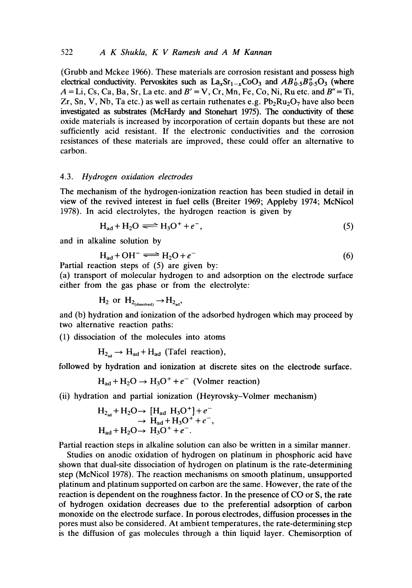(Grubb and Mckee 1966). These materials are corrosion resistant and possess high electrical conductivity. Pervoskites such as  $La_xSr_{1-x}CoO_3$  and  $AB'_{0.5}B''_{0.5}O_3$  (where  $A = Li$ , Cs, Ca, Ba, Sr, La etc. and  $B' = V$ , Cr, Mn, Fe, Co, Ni, Ru etc. and  $B'' = Ti$ , Zr, Sn, V, Nb, Ta etc.) as well as certain ruthenates e.g.  $Pb_2Ru_2O_7$  have also been investigated as substrates (McHardy and Stonehart 1975). The conductivity of these oxide materials is increased by incorporation of certain dopants but these are not sufficiently acid resistant. If the electronic conductivities and the corrosion resistances of these materials are improved, these could offer an alternative to carbon.

#### 4.3. *Hydrogen oxidation electrodes*

The mechanism of the hydrogen-ionization reaction has been studied in detail in view of the revived interest in fuel cells (Breiter 1969; Appleby 1974; McNicol 1978). In acid electrolytes, the hydrogen reaction is given by

$$
H_{ad} + H_2O \Longrightarrow H_3O^+ + e^-, \tag{5}
$$

and in alkaline solution by

$$
H_{ad} + OH^- \Longleftrightarrow H_2O + e^- \tag{6}
$$

Partial reaction steps of (5) are given by:

(a) transport of molecular hydrogen to and adsorption on the electrode surface either from the gas phase or from the electrolyte:

 $H_2$  or  $H_{2,\text{deconform}} \rightarrow H_{2,\text{ad}}$ ,

and (b) hydration and ionization of the adsorbed hydrogen which may proceed by two alternative reaction paths:

(1) dissociation of the molecules into atoms

 $H_2 \rightarrow H_{ad} + H_{ad}$  (Tafel reaction),

followed by hydration and ionization at discrete sites on the electrode surface.

 $H_{\text{ad}} + H_2O \rightarrow H_3O^+ + e^-$  (Volmer reaction)

(ii) hydration and partial ionization (Heyrovsky-Volmer mechanism)

$$
H_{2ad} + H_2O \rightarrow [H_{ad} H_3O^+] + e^-
$$
  
\n
$$
\rightarrow H_{ad} + H_3O^+ + e^-
$$
  
\n
$$
H_{ad} + H_2O \rightarrow H_3O^+ + e^-
$$

Partial reaction steps in alkaline solution can also be written in a similar manner.

Studies on anodic oxidation of hydrogen on platinum in phosphoric acid have shown that dual-site dissociation of hydrogen on platinum is the rate-determining step (McNicol 1978). The reaction mechanisms on smooth platinum, unsupported platinum and platinum supported on carbon are the same. However, the rate of the reaction is dependent on the roughness factor. In the presence of CO or S, the rate of hydrogen oxidation decreases due to the preferential adsorption of carbon monoxide on the electrode surface. In porous electrodes, diffusion processes in the pores must also be considered. At ambient temperatures, the rate-determining step is the diffusion of gas molecules through a thin liquid layer. Chemisorption of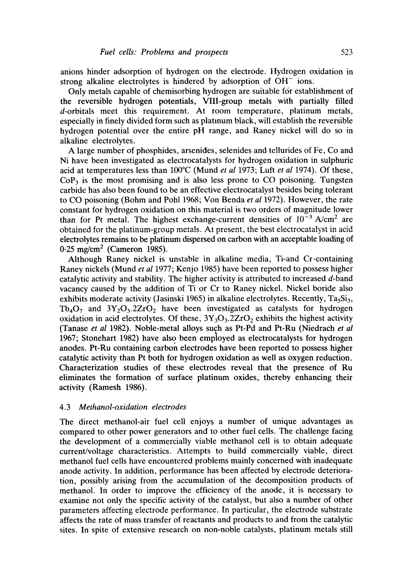anions hinder adsorption of hydrogen on the electrode. Hydrogen oxidation in strong alkaline electrolytes is hindered by adsorption of OH<sup>-</sup> ions.

Only metals capable of chemisorbing hydrogen are suitable for establishment of the reversible hydrogen potentials, VIII-group metals with partially filled d-orbitals meet this requirement. At room temperature, platinum metals, especially in finely divided form such as platinum black, will establish the reversible hydrogen potential over the entire pH range, and Raney nickel will do so in alkaline electrolytes.

A large number of phosphides, arsenides, selenides and tellurides of Fe, Co and Ni have been investigated as electrocatalysts for hydrogen oxidation in sulphuric acid at temperatures less than 100°C (Mund *et al* 1973; Luft *et al* 1974). Of these,  $CoP_3$  is the most promising and is also less prone to CO poisoning. Tungsten carbide has also been found to be an effective electrocatalyst besides being tolerant to CO poisoning (Bohm and Pohl 1968; Von Benda *et al* 1972). However, the rate constant for hydrogen oxidation on this material is two orders of magnitude lower than for Pt metal. The highest exchange-current densities of  $10^{-3}$  A/cm<sup>2</sup> are obtained for the platinum-group metals. At present, the best electrocatalyst in acid electrolytes remains to be platinum dispersed on carbon with an acceptable loading of  $0.25$  mg/cm<sup>2</sup> (Cameron 1985).

Although Raney nickel is unstable in alkaline media, Ti-and Cr-containing Raney nickels (Mund *et al* 1977; Kenjo 1985) have been reported to possess higher catalytic activity and stability. The higher activity is attributed to increased d-band vacancy caused by the addition of Ti or Cr to Raney nickel. Nickel boride also exhibits moderate activity (Jasinski 1965) in alkaline electrolytes. Recently,  $Ta_5Si_3$ ,  $Tb<sub>4</sub>O<sub>7</sub>$  and  $3Y<sub>2</sub>O<sub>3</sub>$ .2ZrO<sub>2</sub> have been investigated as catalysts for hydrogen oxidation in acid electrolytes. Of these,  $3Y_3O_3.2ZrO_2$  exhibits the highest activity (Tanase *et al* 1982). Noble-metal alloys such as Pt-Pd and Pt-Ru (Niedrach *et al*  1967; Stonehart 1982) have also been employed as electrocatalysts for hydrogen anodes. Pt-Ru containing carbon electrodes have been reported to possess higher catalytic activity than Pt both for hydrogen oxidation as well as oxygen reduction. Characterization studies of these electrodes reveal that the presence of Ru eliminates the formation of surface platinum oxides, thereby enhancing their activity (Ramesh 1986).

#### 4.3 *Methanol-oxidation electrodes*

The direct methanol-air fuel cell enjoys a number of unique advantages as compared to other power generators and to other fuel cells. The challenge facing the development of a commercially viable methanol cell is to obtain adequate current/voltage characteristics. Attempts to build commercially viable, direct methanol fuel cells have encountered problems mainly concerned with inadequate anode activity. In addition, performance has been affected by electrode deterioration, possibly arising from the accumulation of the decomposition products of methanol. In order to improve the efficiency of the anode, it is necessary to examine not only the specific activity of the catalyst, but also a number of other parameters affecting electrode performance. In particular, the electrode substrate affects the rate of mass transfer of reactants and products to and from the catalytic sites. In spite of extensive research on non-noble catalysts, platinum metals still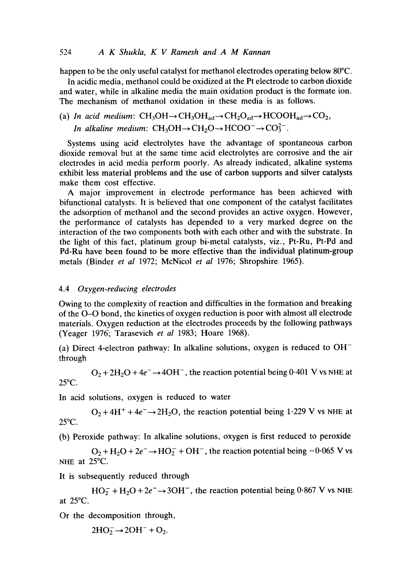happen to be the only useful catalyst for methanol electrodes operating below  $80^{\circ}$ C.

In acidic media, methanol could be oxidized at the Pt electrode to carbon dioxide and water, while in alkaline media the main oxidation product is the formate ion. The mechanism of methanol oxidation in these media is as follows.

# (a) *In acid medium:*  $CH_3OH \rightarrow CH_3OH_{ad} \rightarrow CH_2O_{ad} \rightarrow HCOOH_{ad} \rightarrow CO_2$ , *In alkaline medium:*  $CH_3OH \rightarrow CH_2O \rightarrow HCOO^-\rightarrow CO_3^{2-}$ .

Systems using acid electrolytes have the advantage of spontaneous carbon dioxide removal but at the same time acid electrolytes are corrosive and the air electrodes in acid media perform poorly. As already indicated, alkaline systems exhibit less material problems and the use of carbon supports and silver catalysts make them cost effective.

A major improvement in electrode performance has been achieved with bifunctional catalysts. It is believed that one component of the catalyst facilitates the adsorption of methanol and the second provides an active oxygen. However, the performance of catalysts has depended to a very marked degree on the interaction of the two components both with each other and with the substrate. In the light of this fact, platinum group bi-metal catalysts, viz., Pt-Ru, Pt-Pd and Pd-Ru have been found to be more effective than the individual platinum-group metals (Binder *et al* 1972; McNicol *et al* 1976; Shropshire 1965).

## 4.4 *Oxygen-reducing electrodes*

Owing to the complexity of reaction and difficulties in the formation and breaking of the O-O bond, the kinetics of oxygen reduction is poor with almost all electrode materials. Oxygen reduction at the electrodes proceeds by the following pathways (Yeager 1976"; Tarasevich *et al* 1983; Hoare 1968).

(a) Direct 4-electron pathway: In alkaline solutions, oxygen is reduced to  $OH^$ through

 $O_2 + 2H_2O + 4e^- \rightarrow 4OH^-$ , the reaction potential being 0-401 V vs NHE at  $25^{\circ}$ C.

In acid solutions, oxygen is reduced to water

 $O_2 + 4H^+ + 4e^- \rightarrow 2H_2O$ , the reaction potential being 1.229 V vs NHE at 25°C.

(b) Peroxide pathway: In alkaline solutions, oxygen is first reduced to peroxide

 $O_2 + H_2O + 2e^- \rightarrow HO_2^- + OH^-$ , the reaction potential being  $-0.065$  V vs NHE at 25°C.

It is subsequently reduced through

 $HO_2^- + H_2O + 2e^- \rightarrow 3OH^-$ , the reaction potential being 0.867 V vs NHE at  $25^{\circ}$ C.

Or the decomposition through,

 $2HO_2^- \rightarrow 2OH^- + O_2.$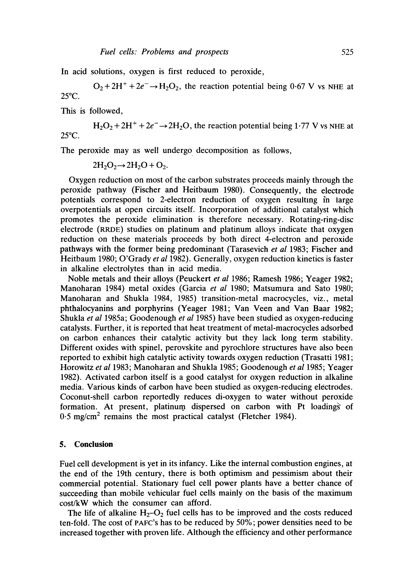In acid solutions, oxygen is first reduced to peroxide,

 $O_2+2H^+ + 2e^- \rightarrow H_2O_2$ , the reaction potential being 0.67 V vs NHE at  $25^{\circ}$ C

This is followed,

 $H_2O_2 + 2H^+ + 2e^- \rightarrow 2H_2O$ , the reaction potential being 1.77 V vs NHE at  $25^{\circ}$ C.

The peroxide may as well undergo decomposition as follows,

 $2H_2O_2 \rightarrow 2H_2O + O_2.$ 

Oxygen reduction on most of the carbon substrates proceeds mainly through the peroxide pathway (Fischer and Heitbaum 1980). Consequently, the electrode potentials correspond to 2-electron reduction of oxygen resulting in large overpotentials at open circuits itself. Incorporation of additional catalyst which promotes the peroxide elimination is therefore necessary. Rotating-ring-disc electrode (RRDE) studies on platinum and platinum alloys indicate that oxygen reduction on these materials proceeds by both direct 4-electron and peroxide pathways with the former being predominant (Tarasevich *et al* 1983; Fischer and Heitbaum 1980; O'Grady *et al* 1982). Generally, oxygen reduction kinetics is faster in alkaline electrolytes than in acid media.

Noble metals and their alloys (Peuckert *et al* 1986; Ramesh 1986; Yeager 1982; Manoharan 1984) metal oxides (Garcia *et al* 1980; Matsumura and Sato 1980; Manoharan and Shukla 1984, 1985) transition-metal macrocycles, viz., metal phthalocyanins and porphyrins (Yeager 1981; Van Veen and Van Baar 1982; Shukla *et al* 1985a; Goodenough *et al* 1985) have been studied as oxygen-reducing catalysts. Further, it is reported that heat treatment of metal-macrocycles adsorbed on carbon enhances their catalytic activity but they lack long term stability. Different oxides with spinel, perovskite and pyrochlore structures have also been reported to exhibit high catalytic activity towards oxygen reduction (Trasatti 1981; Horowitz *et al* 1983; Manoharan and Shukla 1985; Goodenough *et al* 1985; Yeager 1982). Activated carbon itself is a good catalyst for oxygen reduction in alkaline media. Various kinds of carbon have been studied as oxygen-reducing electrodes. Coconut-shell carbon reportedly reduces di-oxygen to water without peroxide formation. At present, platinum dispersed on carbon with Pt loadings of  $0.5$  mg/cm<sup>2</sup> remains the most practical catalyst (Fletcher 1984).

## **5. Conclusion**

Fuel cell development is yet in its infancy. Like the internal combustion engines, at the end of the 19th century, there is both optimism and pessimism about their commercial potential. Stationary fuel cell power plants have a better chance of succeeding than mobile vehicular fuel cells mainly on the basis of the maximum cost/kW which the consumer can afford.

The life of alkaline  $H_2-O_2$  fuel cells has to be improved and the costs reduced ten-fold. The cost of PAFC's has to be reduced by 50%; power densities need to be increased together with proven life. Although the efficiency and other performance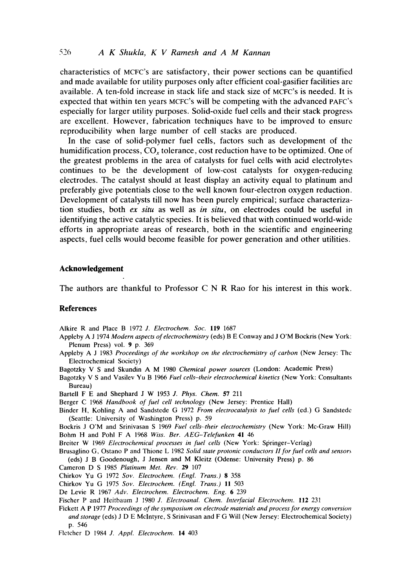characteristics of MCFC's are satisfactory, their power sections can be quantified and made available for utility purposes only after efficient coal-gasifier facilities are available. A ten-fold increase in stack life and stack size of MCFC's is needed. It is expected that within ten years MCFC's will be competing with the advanced PAFC's especially for larger utility purposes. Solid-oxide fuel cells and their stack progress are excellent. However, fabrication techniques have to be improved to ensure reproducibility when large number of cell stacks are produced.

In the case of solid-polymer fuel cells, factors such as development of the humidification process, CO, tolerance, cost reduction have to be optimized. One of the greatest problems in the area of catalysts for fuel cells with acid electrolytes continues to be the development of low-cost catalysts for oxygen-reducing electrodes. The catalyst should at least display an activity equal to platinum and preferably give potentials close to the well known four-electron oxygen reduction. Development of catalysts till now has been purely empirical; surface characterization studies, both *ex situ* as well as *in situ,* on electrodes could be useful in identifying the active catalytic species. It is believed that with continued world-wide efforts in appropriate areas of research, both in the scientific and engineering aspects, fuel cells would become feasible for power generation and other utilities.

## **Acknowledgement**

The authors are thankful to Professor C N R Rao for his interest in this work.

#### **References**

Alkire R and Place B 1972 *J. Electrochem. Soc.* 119 1687

- Appleby A J 1974 *Modern aspects of electrochemistry* (eds) B E Conway and J O'M Bockris (New York: Plenum Press) vol. 9 p. 369
- Appleby A J 1983 *Proceedings of the workshop on the electrochemistry of carbon* (New Jersey: The Electrochemical Society)
- Bagotzky V S and Skundin A M 1980 *Chemical power sources* (London: Academic Press)
- Bagotzky V S and Vasilev Yu B 1966 *Fuel cells-their electrochemical kinetics* (New York: Consultants Bureau)
- Barteli F E and Shephard J W 1953 *J. Phys. Chem.* 57 211
- Berger C 1968 *Handbook of fuel cell technology* (New Jersey: Prentice Hall)
- Binder H, Kohling A and Sandstede G 1972 *From electrocatalysis to fuel cells* (ed.) G Sandstedc (Seattle: University of Washington Press) p. 59
- Bockris J O'M and Srinivasan S 1969 *Fuel cells-their electrochemistry* (New York: Mc-Graw Hill) Bohm H and Pohl F A 1968 *Wiss. Ber. AEG-Telefunken* 41 46
- Breiter W t969 *Electrochemical processes in fuel cells* (New York: Springer-Verlag)
- Brusaglino G, Ostano P and Thione L 1982 *Solid state protonic conductors H for fuel cells and sensor.~*

(eds) J B Goodenough, J Jensen and M Kleitz (Odense: University Press) p. 86

- Cameron D S 1985 *Platinum Met. Rev.* 29 107
- Chirkov Yu G 1972 *Soy. Electrochem. (Engl. Trans.)* 8 358
- Chirkov Yu G 1975 *Soy. Electrochem. (Engl. Trans.)* 11 503
- De Levie R 1967 *Adv. Electrochem. Electrochem. Eng.* 6 239
- Fischer P and Heitbaum J 1980 *J. Electroanal. Chem. Interfaciat Etectrochem.* 112 231
- Fickett A P 1977 *Proceedings of the symposium on electrode materials and process for energy conversion and storage* (eds) J D E Mclntyre, S Srinivasan and F G Will (New Jersey: Electrochemical Society) p. 546
- Fletcher D 1984 *J. Appl. Electrochem.* 14 403